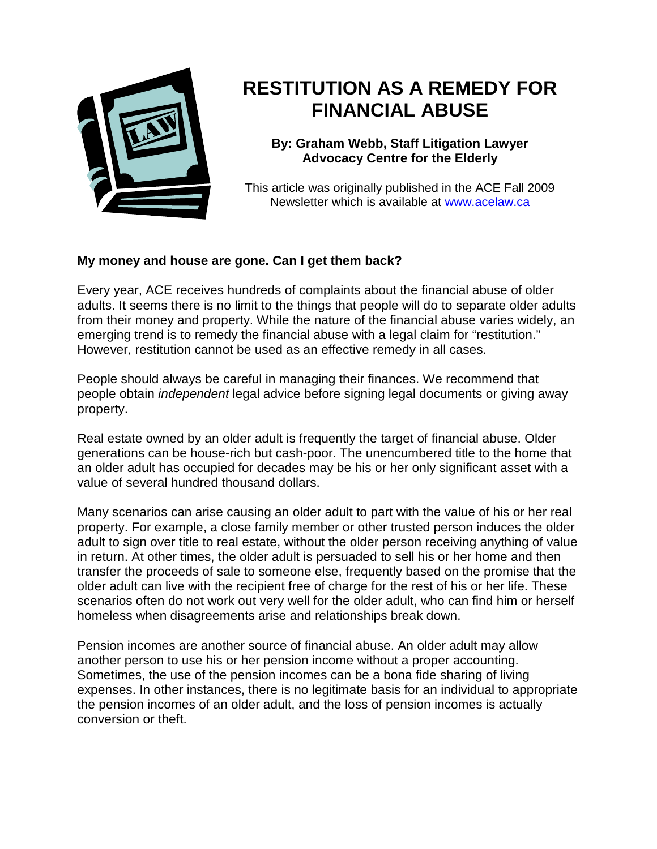

## **RESTITUTION AS A REMEDY FOR FINANCIAL ABUSE**

**By: Graham Webb, Staff Litigation Lawyer Advocacy Centre for the Elderly** 

This article was originally published in the ACE Fall 2009 Newsletter which is available at www.acelaw.ca

## **My money and house are gone. Can I get them back?**

Every year, ACE receives hundreds of complaints about the financial abuse of older adults. It seems there is no limit to the things that people will do to separate older adults from their money and property. While the nature of the financial abuse varies widely, an emerging trend is to remedy the financial abuse with a legal claim for "restitution." However, restitution cannot be used as an effective remedy in all cases.

People should always be careful in managing their finances. We recommend that people obtain independent legal advice before signing legal documents or giving away property.

Real estate owned by an older adult is frequently the target of financial abuse. Older generations can be house-rich but cash-poor. The unencumbered title to the home that an older adult has occupied for decades may be his or her only significant asset with a value of several hundred thousand dollars.

Many scenarios can arise causing an older adult to part with the value of his or her real property. For example, a close family member or other trusted person induces the older adult to sign over title to real estate, without the older person receiving anything of value in return. At other times, the older adult is persuaded to sell his or her home and then transfer the proceeds of sale to someone else, frequently based on the promise that the older adult can live with the recipient free of charge for the rest of his or her life. These scenarios often do not work out very well for the older adult, who can find him or herself homeless when disagreements arise and relationships break down.

Pension incomes are another source of financial abuse. An older adult may allow another person to use his or her pension income without a proper accounting. Sometimes, the use of the pension incomes can be a bona fide sharing of living expenses. In other instances, there is no legitimate basis for an individual to appropriate the pension incomes of an older adult, and the loss of pension incomes is actually conversion or theft.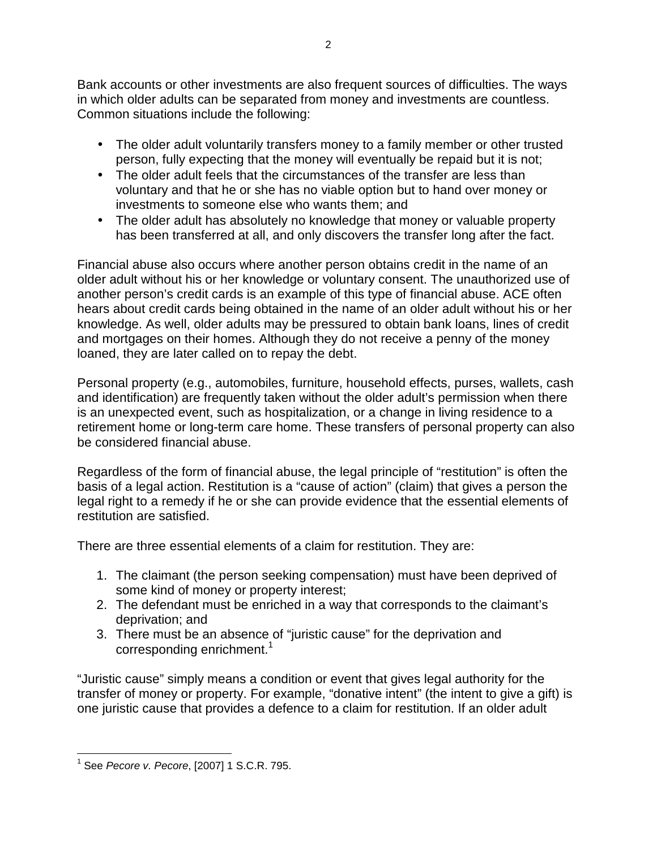Bank accounts or other investments are also frequent sources of difficulties. The ways in which older adults can be separated from money and investments are countless. Common situations include the following:

- The older adult voluntarily transfers money to a family member or other trusted person, fully expecting that the money will eventually be repaid but it is not;
- The older adult feels that the circumstances of the transfer are less than voluntary and that he or she has no viable option but to hand over money or investments to someone else who wants them; and
- The older adult has absolutely no knowledge that money or valuable property has been transferred at all, and only discovers the transfer long after the fact.

Financial abuse also occurs where another person obtains credit in the name of an older adult without his or her knowledge or voluntary consent. The unauthorized use of another person's credit cards is an example of this type of financial abuse. ACE often hears about credit cards being obtained in the name of an older adult without his or her knowledge. As well, older adults may be pressured to obtain bank loans, lines of credit and mortgages on their homes. Although they do not receive a penny of the money loaned, they are later called on to repay the debt.

Personal property (e.g., automobiles, furniture, household effects, purses, wallets, cash and identification) are frequently taken without the older adult's permission when there is an unexpected event, such as hospitalization, or a change in living residence to a retirement home or long-term care home. These transfers of personal property can also be considered financial abuse.

Regardless of the form of financial abuse, the legal principle of "restitution" is often the basis of a legal action. Restitution is a "cause of action" (claim) that gives a person the legal right to a remedy if he or she can provide evidence that the essential elements of restitution are satisfied.

There are three essential elements of a claim for restitution. They are:

- 1. The claimant (the person seeking compensation) must have been deprived of some kind of money or property interest;
- 2. The defendant must be enriched in a way that corresponds to the claimant's deprivation; and
- 3. There must be an absence of "juristic cause" for the deprivation and corresponding enrichment.<sup>1</sup>

"Juristic cause" simply means a condition or event that gives legal authority for the transfer of money or property. For example, "donative intent" (the intent to give a gift) is one juristic cause that provides a defence to a claim for restitution. If an older adult

 $\overline{1}$ <sup>1</sup> See Pecore v. Pecore, [2007] 1 S.C.R. 795.